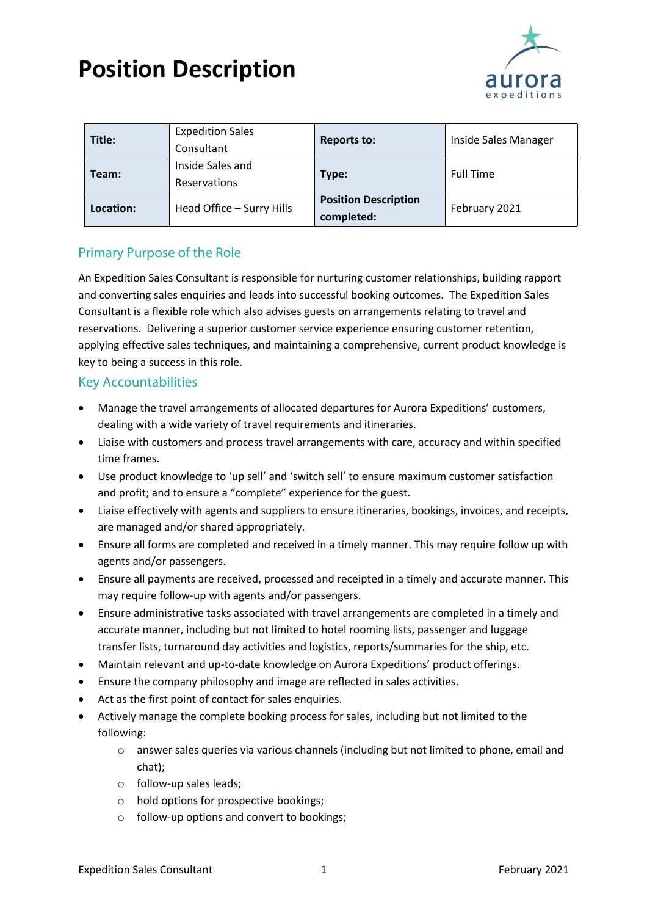

| Title:    | <b>Expedition Sales</b><br>Consultant   | <b>Reports to:</b>                        | Inside Sales Manager |
|-----------|-----------------------------------------|-------------------------------------------|----------------------|
| Team:     | Inside Sales and<br><b>Reservations</b> | Type:                                     | <b>Full Time</b>     |
| Location: | Head Office - Surry Hills               | <b>Position Description</b><br>completed: | February 2021        |

## Primary Purpose of the Role

An Expedition Sales Consultant is responsible for nurturing customer relationships, building rapport and converting sales enquiries and leads into successful booking outcomes. The Expedition Sales Consultant is a flexible role which also advises guests on arrangements relating to travel and reservations. Delivering a superior customer service experience ensuring customer retention, applying effective sales techniques, and maintaining a comprehensive, current product knowledge is key to being a success in this role.

### Key Accountabilities

- Manage the travel arrangements of allocated departures for Aurora Expeditions' customers, dealing with a wide variety of travel requirements and itineraries.
- Liaise with customers and process travel arrangements with care, accuracy and within specified time frames.
- Use product knowledge to 'up sell' and 'switch sell' to ensure maximum customer satisfaction and profit; and to ensure a "complete" experience for the guest.
- Liaise effectively with agents and suppliers to ensure itineraries, bookings, invoices, and receipts, are managed and/or shared appropriately.
- Ensure all forms are completed and received in a timely manner. This may require follow up with agents and/or passengers.
- Ensure all payments are received, processed and receipted in a timely and accurate manner. This may require follow-up with agents and/or passengers.
- Ensure administrative tasks associated with travel arrangements are completed in a timely and accurate manner, including but not limited to hotel rooming lists, passenger and luggage transfer lists, turnaround day activities and logistics, reports/summaries for the ship, etc.
- Maintain relevant and up-to-date knowledge on Aurora Expeditions' product offerings.
- Ensure the company philosophy and image are reflected in sales activities.
- Act as the first point of contact for sales enquiries.
- Actively manage the complete booking process for sales, including but not limited to the following:
	- o answer sales queries via various channels (including but not limited to phone, email and chat);
	- o follow-up sales leads;
	- o hold options for prospective bookings;
	- o follow-up options and convert to bookings;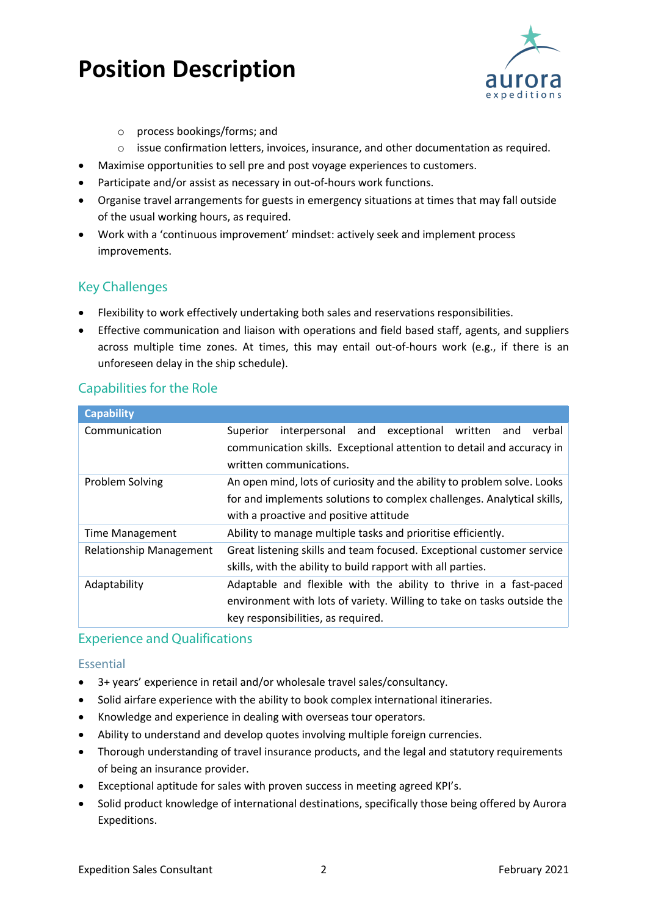

- o process bookings/forms; and
- o issue confirmation letters, invoices, insurance, and other documentation as required.
- Maximise opportunities to sell pre and post voyage experiences to customers.
- Participate and/or assist as necessary in out-of-hours work functions.
- Organise travel arrangements for guests in emergency situations at times that may fall outside of the usual working hours, as required.
- Work with a 'continuous improvement' mindset: actively seek and implement process improvements.

### Key Challenges

- Flexibility to work effectively undertaking both sales and reservations responsibilities.
- Effective communication and liaison with operations and field based staff, agents, and suppliers across multiple time zones. At times, this may entail out-of-hours work (e.g., if there is an unforeseen delay in the ship schedule).

### Capabilities for the Role

| <b>Capability</b>                                                                                 |                                                                          |  |  |
|---------------------------------------------------------------------------------------------------|--------------------------------------------------------------------------|--|--|
| Communication                                                                                     | exceptional<br>interpersonal and<br>written<br>Superior<br>verbal<br>and |  |  |
|                                                                                                   | communication skills. Exceptional attention to detail and accuracy in    |  |  |
|                                                                                                   | written communications.                                                  |  |  |
| An open mind, lots of curiosity and the ability to problem solve. Looks<br><b>Problem Solving</b> |                                                                          |  |  |
|                                                                                                   | for and implements solutions to complex challenges. Analytical skills,   |  |  |
|                                                                                                   | with a proactive and positive attitude                                   |  |  |
| Time Management                                                                                   | Ability to manage multiple tasks and prioritise efficiently.             |  |  |
| <b>Relationship Management</b>                                                                    | Great listening skills and team focused. Exceptional customer service    |  |  |
|                                                                                                   | skills, with the ability to build rapport with all parties.              |  |  |
| Adaptability                                                                                      | Adaptable and flexible with the ability to thrive in a fast-paced        |  |  |
|                                                                                                   | environment with lots of variety. Willing to take on tasks outside the   |  |  |
|                                                                                                   | key responsibilities, as required.                                       |  |  |

#### Experience and Qualifications

#### Essential

- 3+ years' experience in retail and/or wholesale travel sales/consultancy.
- Solid airfare experience with the ability to book complex international itineraries.
- Knowledge and experience in dealing with overseas tour operators.
- Ability to understand and develop quotes involving multiple foreign currencies.
- Thorough understanding of travel insurance products, and the legal and statutory requirements of being an insurance provider.
- Exceptional aptitude for sales with proven success in meeting agreed KPI's.
- Solid product knowledge of international destinations, specifically those being offered by Aurora Expeditions.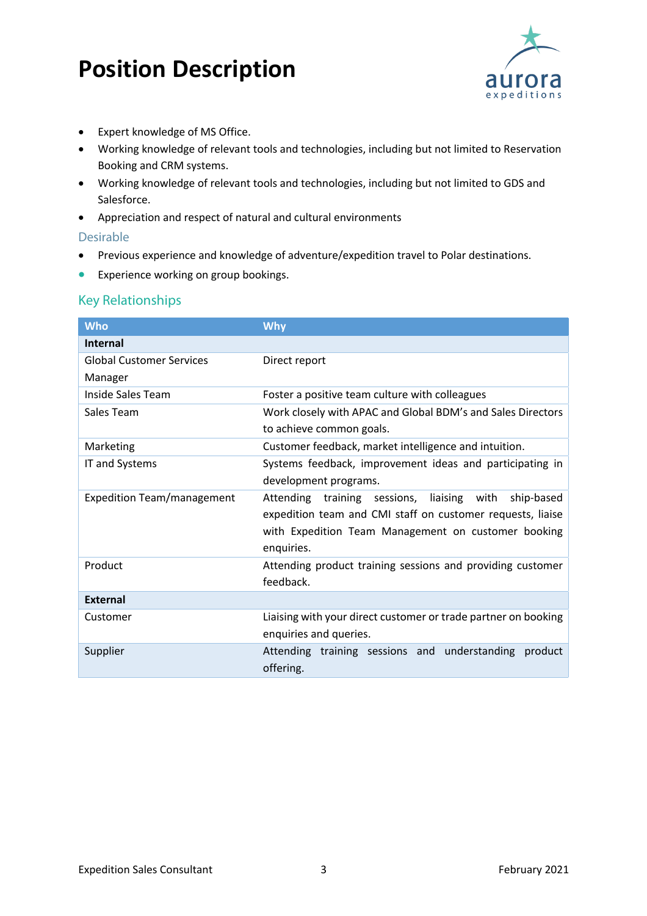

- Expert knowledge of MS Office.
- Working knowledge of relevant tools and technologies, including but not limited to Reservation Booking and CRM systems.
- Working knowledge of relevant tools and technologies, including but not limited to GDS and Salesforce.
- Appreciation and respect of natural and cultural environments

#### Desirable

- Previous experience and knowledge of adventure/expedition travel to Polar destinations.
- Experience working on group bookings.

### Key Relationships

| <b>Who</b>                                                                 | <b>Why</b>                                                  |  |
|----------------------------------------------------------------------------|-------------------------------------------------------------|--|
| <b>Internal</b>                                                            |                                                             |  |
| <b>Global Customer Services</b>                                            | Direct report                                               |  |
| Manager                                                                    |                                                             |  |
| Inside Sales Team                                                          | Foster a positive team culture with colleagues              |  |
| Sales Team                                                                 | Work closely with APAC and Global BDM's and Sales Directors |  |
|                                                                            | to achieve common goals.                                    |  |
| Marketing                                                                  | Customer feedback, market intelligence and intuition.       |  |
| IT and Systems                                                             | Systems feedback, improvement ideas and participating in    |  |
|                                                                            | development programs.                                       |  |
| <b>Expedition Team/management</b>                                          | Attending training sessions,<br>liaising with<br>ship-based |  |
|                                                                            | expedition team and CMI staff on customer requests, liaise  |  |
|                                                                            | with Expedition Team Management on customer booking         |  |
|                                                                            | enquiries.                                                  |  |
| Product                                                                    | Attending product training sessions and providing customer  |  |
|                                                                            | feedback.                                                   |  |
| <b>External</b>                                                            |                                                             |  |
| Liaising with your direct customer or trade partner on booking<br>Customer |                                                             |  |
|                                                                            | enquiries and queries.                                      |  |
| Supplier                                                                   | Attending training sessions and understanding product       |  |
|                                                                            | offering.                                                   |  |